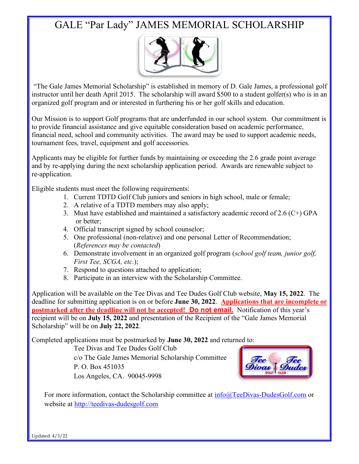## GALE "Par Lady" JAMES MEMORIAL SCHOLARSHIP



"The Gale James Memorial Scholarship" is established in memory of D. Gale James, a professional golf instructor until her death April 2015. The scholarship will award \$500 to a student golfer(s) who is in an organized golf program and or interested in furthering his or her golf skills and education.

Our Mission is to support Golf programs that are underfunded in our school system. Our commitment is to provide financial assistance and give equitable consideration based on academic performance, financial need, school and community activities. The award may be used to support academic needs, tournament fees, travel, equipment and golf accessories.

Applicants may be eligible for further funds by maintaining or exceeding the 2.6 grade point average and by re-applying during the next scholarship application period. Awards are renewable subject to re-application.

Eligible students must meet the following requirements:

- 1. Current TDTD Golf Club juniors and seniors in high school, male or female;
- 2. A relative of a TDTD members may also apply;
- 3. Must have established and maintained a satisfactory academic record of 2.6 (C+) GPA or better;
- 4. Official transcript signed by school counselor;
- 5. One professional (non-relative) and one personal Letter of Recommendation; (*References may be contacted*)
- 6. Demonstrate involvement in an organized golf program (*school golf team, junior golf, First Tee, SCGA, etc.*);
- 7. Respond to questions attached to application;
- 8. Participate in an interview with the Scholarship Committee.

Application will be available on the Tee Divas and Tee Dudes Golf Club website, **May 15, 2022**. The deadline for submitting application is on or before **June 30, 2022**. **Applications that are incomplete or postmarked after the deadline will not be accepted! Do not email.** Notification of this year's recipient will be on **July 15, 2022** and presentation of the Recipient of the "Gale James Memorial Scholarship" will be on **July 22, 2022**.

Completed applications must be postmarked by **June 30, 2022** and returned to:

Tee Divas and Tee Dudes Golf Club c/o The Gale James Memorial Scholarship Committee P. O. Box 451035 Los Angeles, CA. 90045-9998



For more information, contact the Scholarship committee at  $\frac{info@TeeDivas-DudesGolf.com}{info@TeeDivas-DudesGolf.com}$  or website at http://teedivas-dudesgolf.com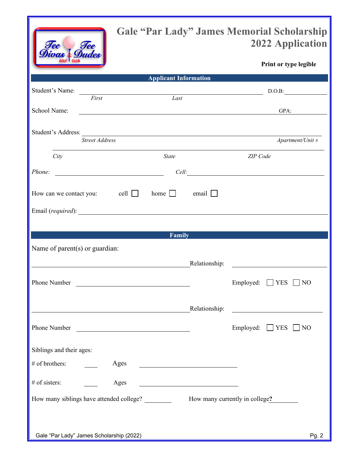| $\bm{e}$<br>$\bm{\rho} \bm{\rho}$<br>ivas |
|-------------------------------------------|
| Dudes<br>GOLF<br><b>CLUB</b>              |

## **Gale "Par Lady" James Memorial Scholarship 2022 Application**

**Print or type legible**

|                                |                                                                                                                      | <b>Example 2018 Applicant Information</b> |                                |          |                                                                                                                                                                                                                               |
|--------------------------------|----------------------------------------------------------------------------------------------------------------------|-------------------------------------------|--------------------------------|----------|-------------------------------------------------------------------------------------------------------------------------------------------------------------------------------------------------------------------------------|
| Student's Name:                | <u> 2008 - Andrea Andrew Maria (h. 1878).</u>                                                                        |                                           |                                |          | D.O.B:                                                                                                                                                                                                                        |
|                                | First                                                                                                                | Last                                      |                                |          |                                                                                                                                                                                                                               |
| School Name:                   | $GPA$ :                                                                                                              |                                           |                                |          |                                                                                                                                                                                                                               |
|                                |                                                                                                                      |                                           |                                |          |                                                                                                                                                                                                                               |
|                                |                                                                                                                      |                                           |                                |          |                                                                                                                                                                                                                               |
|                                | <b>Street Address</b>                                                                                                |                                           |                                |          | Apartment/Unit #                                                                                                                                                                                                              |
| City                           |                                                                                                                      | State                                     |                                | ZIP Code |                                                                                                                                                                                                                               |
|                                |                                                                                                                      |                                           |                                |          |                                                                                                                                                                                                                               |
|                                |                                                                                                                      |                                           |                                |          | Cell: <u>Cell</u>                                                                                                                                                                                                             |
|                                | How can we contact you: cell $\Box$                                                                                  | home email                                |                                |          |                                                                                                                                                                                                                               |
|                                |                                                                                                                      |                                           |                                |          |                                                                                                                                                                                                                               |
|                                | Email (required):                                                                                                    |                                           |                                |          |                                                                                                                                                                                                                               |
|                                |                                                                                                                      |                                           |                                |          |                                                                                                                                                                                                                               |
|                                |                                                                                                                      | Family                                    |                                |          |                                                                                                                                                                                                                               |
| Name of parent(s) or guardian: |                                                                                                                      |                                           |                                |          |                                                                                                                                                                                                                               |
|                                | Relationship:                                                                                                        |                                           |                                |          | <u> 1989 - Johann Barn, mars ann an t-Amhain Aonaich an t-Aonaich an t-Aonaich ann an t-Aonaich ann an t-Aonaich</u>                                                                                                          |
|                                |                                                                                                                      |                                           |                                |          |                                                                                                                                                                                                                               |
| Phone Number                   | <u> Alexandria de la contrada de la contrada de la contrada de la contrada de la contrada de la contrada de la c</u> |                                           |                                |          | Employed: $\Box$ YES $\Box$ NO                                                                                                                                                                                                |
|                                |                                                                                                                      |                                           |                                |          |                                                                                                                                                                                                                               |
|                                |                                                                                                                      |                                           |                                |          |                                                                                                                                                                                                                               |
|                                |                                                                                                                      |                                           |                                |          | Relationship: The Contract of the Contract of the Contract of the Contract of the Contract of the Contract of the Contract of the Contract of the Contract of the Contract of the Contract of the Contract of the Contract of |
| Phone Number                   |                                                                                                                      |                                           |                                |          | Employed: $\Box$ YES $\Box$ NO                                                                                                                                                                                                |
|                                |                                                                                                                      |                                           |                                |          |                                                                                                                                                                                                                               |
| Siblings and their ages:       |                                                                                                                      |                                           |                                |          |                                                                                                                                                                                                                               |
| # of brothers:                 | Ages                                                                                                                 |                                           |                                |          |                                                                                                                                                                                                                               |
|                                |                                                                                                                      |                                           |                                |          |                                                                                                                                                                                                                               |
| # of sisters:                  | Ages                                                                                                                 |                                           |                                |          |                                                                                                                                                                                                                               |
|                                | How many siblings have attended college?                                                                             |                                           | How many currently in college? |          |                                                                                                                                                                                                                               |
|                                |                                                                                                                      |                                           |                                |          |                                                                                                                                                                                                                               |
|                                |                                                                                                                      |                                           |                                |          |                                                                                                                                                                                                                               |
|                                |                                                                                                                      |                                           |                                |          |                                                                                                                                                                                                                               |
|                                | Gale "Par Lady" James Scholarship (2022)                                                                             |                                           |                                |          | Pg. 2                                                                                                                                                                                                                         |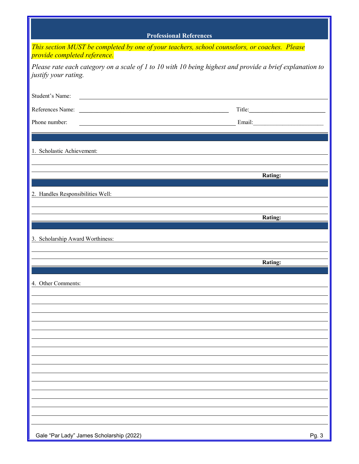|                                                                                               | <b>Professional References</b>                                                                                                                                                                                                       |
|-----------------------------------------------------------------------------------------------|--------------------------------------------------------------------------------------------------------------------------------------------------------------------------------------------------------------------------------------|
| This section MUST be completed by one of your teachers, school counselors, or coaches. Please |                                                                                                                                                                                                                                      |
| provide completed reference.<br>justify your rating.                                          | Please rate each category on a scale of 1 to 10 with 10 being highest and provide a brief explanation to                                                                                                                             |
| Student's Name:                                                                               |                                                                                                                                                                                                                                      |
|                                                                                               |                                                                                                                                                                                                                                      |
| Phone number:                                                                                 | <u>Email: Email: Email: Email: Email: Email: Email: Email: Email: Email: Email: Email: Email: Email: Email: Email: Email: Email: Email: Email: Email: Email: Email: Email: Email: Email: Email: Email: Email: Email: Email: Emai</u> |
|                                                                                               |                                                                                                                                                                                                                                      |
| 1. Scholastic Achievement:                                                                    |                                                                                                                                                                                                                                      |
|                                                                                               |                                                                                                                                                                                                                                      |
|                                                                                               | Rating:                                                                                                                                                                                                                              |
| 2. Handles Responsibilities Well:                                                             |                                                                                                                                                                                                                                      |
|                                                                                               |                                                                                                                                                                                                                                      |
|                                                                                               | <b>Rating:</b>                                                                                                                                                                                                                       |
| 3. Scholarship Award Worthiness:                                                              |                                                                                                                                                                                                                                      |
|                                                                                               |                                                                                                                                                                                                                                      |
|                                                                                               | <b>Rating:</b>                                                                                                                                                                                                                       |
| 4. Other Comments:                                                                            |                                                                                                                                                                                                                                      |
|                                                                                               |                                                                                                                                                                                                                                      |
|                                                                                               |                                                                                                                                                                                                                                      |
|                                                                                               |                                                                                                                                                                                                                                      |
|                                                                                               |                                                                                                                                                                                                                                      |
|                                                                                               |                                                                                                                                                                                                                                      |
|                                                                                               |                                                                                                                                                                                                                                      |
|                                                                                               |                                                                                                                                                                                                                                      |
|                                                                                               |                                                                                                                                                                                                                                      |
|                                                                                               |                                                                                                                                                                                                                                      |
|                                                                                               |                                                                                                                                                                                                                                      |
| Gale "Par Lady" James Scholarship (2022)                                                      | Pg.3                                                                                                                                                                                                                                 |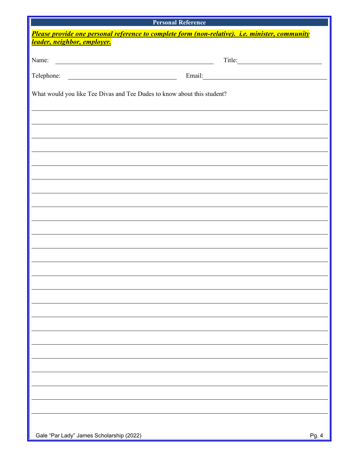| <b>Personal Reference</b>                                                                                                     |  |  |  |  |  |  |
|-------------------------------------------------------------------------------------------------------------------------------|--|--|--|--|--|--|
| Please provide one personal reference to complete form (non-relative). i.e. minister, community                               |  |  |  |  |  |  |
| leader, neighbor, employer.                                                                                                   |  |  |  |  |  |  |
| Name:<br><u> 1989 - Johann Barn, mars ann an t-Amhain Aonaich an t-Aonaich an t-Aonaich ann an t-Aonaich ann an t-Aonaich</u> |  |  |  |  |  |  |
| Telephone:<br><u> 1980 - Johann Barn, fransk politik fotograf (d. 1980)</u>                                                   |  |  |  |  |  |  |
| What would you like Tee Divas and Tee Dudes to know about this student?                                                       |  |  |  |  |  |  |
|                                                                                                                               |  |  |  |  |  |  |
|                                                                                                                               |  |  |  |  |  |  |
|                                                                                                                               |  |  |  |  |  |  |
|                                                                                                                               |  |  |  |  |  |  |
|                                                                                                                               |  |  |  |  |  |  |
|                                                                                                                               |  |  |  |  |  |  |
|                                                                                                                               |  |  |  |  |  |  |
|                                                                                                                               |  |  |  |  |  |  |
|                                                                                                                               |  |  |  |  |  |  |
|                                                                                                                               |  |  |  |  |  |  |
|                                                                                                                               |  |  |  |  |  |  |
|                                                                                                                               |  |  |  |  |  |  |
|                                                                                                                               |  |  |  |  |  |  |
|                                                                                                                               |  |  |  |  |  |  |
|                                                                                                                               |  |  |  |  |  |  |
|                                                                                                                               |  |  |  |  |  |  |
|                                                                                                                               |  |  |  |  |  |  |
|                                                                                                                               |  |  |  |  |  |  |
|                                                                                                                               |  |  |  |  |  |  |
|                                                                                                                               |  |  |  |  |  |  |
|                                                                                                                               |  |  |  |  |  |  |
|                                                                                                                               |  |  |  |  |  |  |
|                                                                                                                               |  |  |  |  |  |  |
|                                                                                                                               |  |  |  |  |  |  |
|                                                                                                                               |  |  |  |  |  |  |
| Gale "Par Lady" James Scholarship (2022)<br>Pg. 4                                                                             |  |  |  |  |  |  |